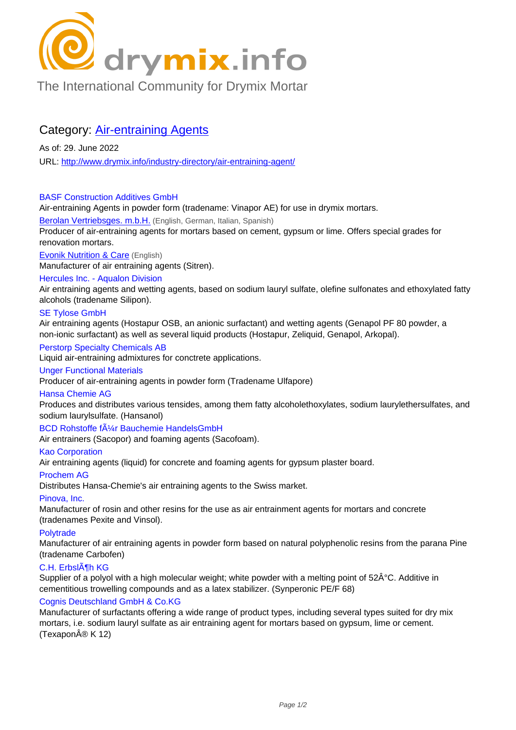# C drymix.info

[The International Community for Drymix Mortar](/industry-directory/)

## Category: Air-entraining Agents

As of: 29. June 2022 URL: http://www.drymix.info/industry-directory/air-entraining-agent/

#### BASF Construction Additives GmbH

Air-e[ntraining Agents in powder form \(tradename: Vinapor AE\) for u](http://www.drymix.info/industry-directory/air-entraining-agent/)se in drymix mortars.

#### Berolan Vertriebsges. m.b.H. (English, German, Italian, Spanish)

Producer of air-entraining agents for mortars based on cement, gypsum or lime. Offers special grades for renovation mortars.

**Evonik Nutrition & Care** (English)

[Manufacturer of air entraining](http://www.drymix.info/industry-directory/redir.php?lid=5790) agents (Sitren).

### Hercules Inc. - Aqualon Division

Air entraining agents and wetting agents, based on sodium lauryl sulfate, olefine sulfonates and ethoxylated fatty [alcohols \(tradename Sil](http://www.drymix.info/industry-directory/redir.php?lid=7946)ipon).

#### SE Tylose GmbH

Air entraining agents (Hostapur OSB, an anionic surfactant) and wetting agents (Genapol PF 80 powder, a non-ionic surfactant) as well as several liquid products (Hostapur, Zeliquid, Genapol, Arkopal).

#### Perstorp Specialty Chemicals AB

Liquid air-entraining admixtures for conctrete applications.

#### Unger Functional Materials

Producer of air-entraining agents in powder form (Tradename Ulfapore)

#### Hansa Chemie AG

Produces and distributes various tensides, among them fatty alcoholethoxylates, sodium laurylethersulfates, and sodium laurylsulfate. (Hansanol)

BCD Rohstoffe f $\tilde{A}/4r$  Bauchemie HandelsGmbH

Air entrainers (Sacopor) and foaming agents (Sacofoam).

#### Kao Corporation

Air entraining agents (liquid) for concrete and foaming agents for gypsum plaster board.

#### Prochem AG

Distributes Hansa-Chemie's air entraining agents to the Swiss market.

#### Pinova, Inc.

Manufacturer of rosin and other resins for the use as air entrainment agents for mortars and concrete (tradenames Pexite and Vinsol).

#### **Polytrade**

Manufacturer of air entraining agents in powder form based on natural polyphenolic resins from the parana Pine (tradename Carbofen)

#### C.H. ErbslĶh KG

Supplier of a polyol with a high molecular weight; white powder with a melting point of 52ŰC. Additive in cementitious trowelling compounds and as a latex stabilizer. (Synperonic PE/F 68)

#### Cognis Deutschland GmbH & Co.KG

Manufacturer of surfactants offering a wide range of product types, including several types suited for dry mix mortars, i.e. sodium lauryl sulfate as air entraining agent for mortars based on gypsum, lime or cement. (Texapon® K 12)